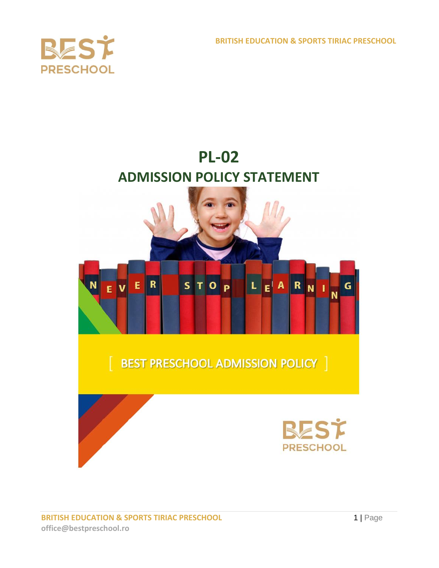**BRITISH EDUCATION & SPORTS TIRIAC PRESCHOOL**



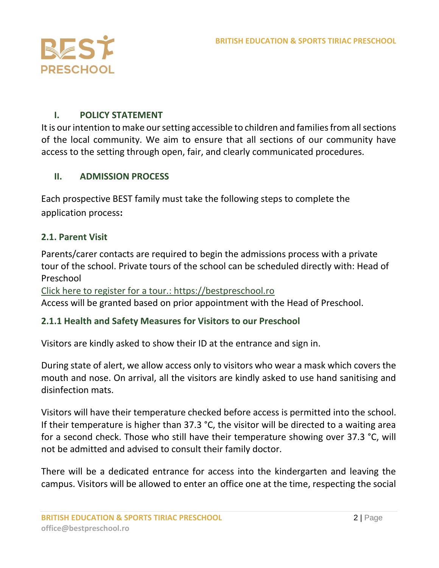

## **I. POLICY STATEMENT**

It is our intention to make our setting accessible to children and families from all sections of the local community. We aim to ensure that all sections of our community have access to the setting through open, fair, and clearly communicated procedures.

### **II. ADMISSION PROCESS**

Each prospective BEST family must take the following steps to complete the application process**:**

### **2.1. Parent Visit**

Parents/carer contacts are required to begin the admissions process with a private tour of the school. Private tours of the school can be scheduled directly with: Head of Preschool

[Click here to register for a tour.:](about:blank) [https://bestpreschool.ro](https://bestpreschool.ro/) Access will be granted based on prior appointment with the Head of Preschool.

### **2.1.1 Health and Safety Measures for Visitors to our Preschool**

Visitors are kindly asked to show their ID at the entrance and sign in.

During state of alert, we allow access only to visitors who wear a mask which covers the mouth and nose. On arrival, all the visitors are kindly asked to use hand sanitising and disinfection mats.

Visitors will have their temperature checked before access is permitted into the school. If their temperature is higher than 37.3 °C, the visitor will be directed to a waiting area for a second check. Those who still have their temperature showing over 37.3 °C, will not be admitted and advised to consult their family doctor.

There will be a dedicated entrance for access into the kindergarten and leaving the campus. Visitors will be allowed to enter an office one at the time, respecting the social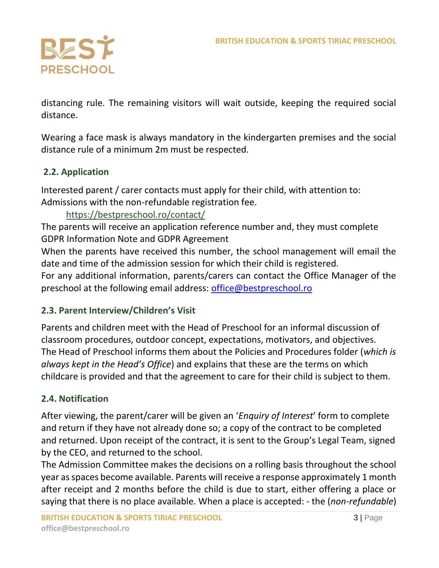

distancing rule. The remaining visitors will wait outside, keeping the required social distance.

Wearing a face mask is always mandatory in the kindergarten premises and the social distance rule of a minimum 2m must be respected.

# **2.2. Application**

Interested parent / carer contacts must apply for their child, with attention to: Admissions with the non-refundable registration fee.

## <https://bestpreschool.ro/contact/>

The parents will receive an application reference number and, they must complete GDPR Information Note and GDPR Agreement

When the parents have received this number, the school management will email the date and time of the admission session for which their child is registered.

For any additional information, parents/carers can contact the Office Manager of the preschool at the following email address: [office@bestpreschool.ro](mailto:office@bestpreschool.ro)

# **2.3. Parent Interview/Children's Visit**

Parents and children meet with the Head of Preschool for an informal discussion of classroom procedures, outdoor concept, expectations, motivators, and objectives. The Head of Preschool informs them about the Policies and Procedures folder (*which is always kept in the Head's Office*) and explains that these are the terms on which childcare is provided and that the agreement to care for their child is subject to them.

### **2.4. Notification**

After viewing, the parent/carer will be given an '*Enquiry of Interest*' form to complete and return if they have not already done so; a copy of the contract to be completed and returned. Upon receipt of the contract, it is sent to the Group's Legal Team, signed by the CEO, and returned to the school.

The Admission Committee makes the decisions on a rolling basis throughout the school year as spaces become available. Parents will receive a response approximately 1 month after receipt and 2 months before the child is due to start, either offering a place or saying that there is no place available. When a place is accepted: - the (*non-refundable*)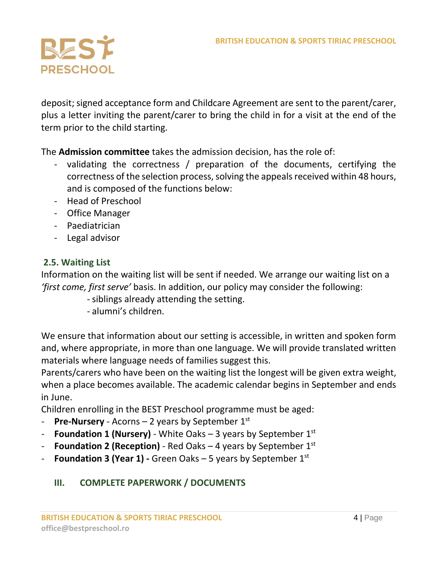

deposit; signed acceptance form and Childcare Agreement are sent to the parent/carer, plus a letter inviting the parent/carer to bring the child in for a visit at the end of the term prior to the child starting.

The **Admission committee** takes the admission decision, has the role of:

- validating the correctness / preparation of the documents, certifying the correctness of the selection process, solving the appeals received within 48 hours, and is composed of the functions below:
- Head of Preschool
- Office Manager
- Paediatrician
- Legal advisor

### **2.5. Waiting List**

Information on the waiting list will be sent if needed. We arrange our waiting list on a *'first come, first serve'* basis. In addition, our policy may consider the following:

- siblings already attending the setting.
- alumni's children.

We ensure that information about our setting is accessible, in written and spoken form and, where appropriate, in more than one language. We will provide translated written materials where language needs of families suggest this.

Parents/carers who have been on the waiting list the longest will be given extra weight, when a place becomes available. The academic calendar begins in September and ends in June.

Children enrolling in the BEST Preschool programme must be aged:

- **Pre-Nursery** Acorns 2 years by September 1st
- **Foundation 1 (Nursery)** White Oaks 3 years by September 1st
- **Foundation 2 (Reception)** Red Oaks 4 years by September 1st
- **Foundation 3 (Year 1) -** Green Oaks 5 years by September 1st

# **III. COMPLETE PAPERWORK / DOCUMENTS**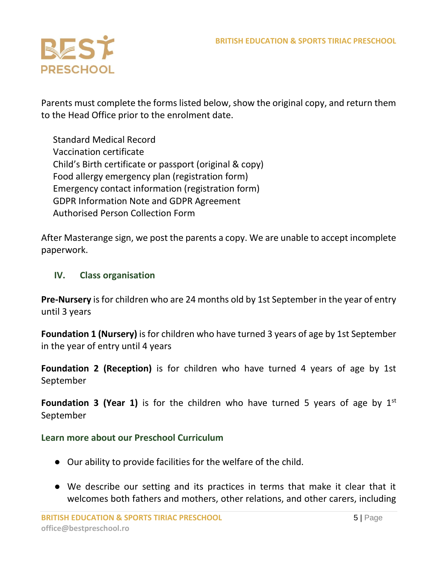

Parents must complete the forms listed below, show the original copy, and return them to the Head Office prior to the enrolment date.

 Standard Medical Record Vaccination certificate Child's Birth certificate or passport (original & copy) Food allergy emergency plan (registration form) Emergency contact information (registration form) GDPR Information Note and GDPR Agreement Authorised Person Collection Form

After Masterange sign, we post the parents a copy. We are unable to accept incomplete paperwork.

#### **IV. Class organisation**

**Pre-Nursery** is for children who are 24 months old by 1st September in the year of entry until 3 years

**Foundation 1 (Nursery)** is for children who have turned 3 years of age by 1st September in the year of entry until 4 years

**Foundation 2 (Reception)** is for children who have turned 4 years of age by 1st September

**Foundation 3 (Year 1)** is for the children who have turned 5 years of age by 1<sup>st</sup> September

#### **Learn more about our Preschool Curriculum**

- Our ability to provide facilities for the welfare of the child.
- We describe our setting and its practices in terms that make it clear that it welcomes both fathers and mothers, other relations, and other carers, including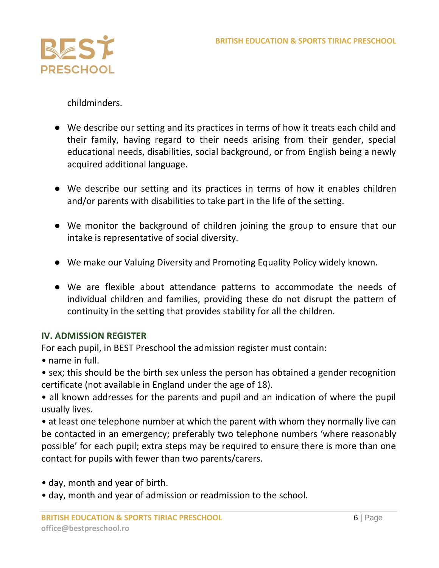

childminders.

- We describe our setting and its practices in terms of how it treats each child and their family, having regard to their needs arising from their gender, special educational needs, disabilities, social background, or from English being a newly acquired additional language.
- We describe our setting and its practices in terms of how it enables children and/or parents with disabilities to take part in the life of the setting.
- We monitor the background of children joining the group to ensure that our intake is representative of social diversity.
- We make our Valuing Diversity and Promoting Equality Policy widely known.
- We are flexible about attendance patterns to accommodate the needs of individual children and families, providing these do not disrupt the pattern of continuity in the setting that provides stability for all the children.

#### **IV. ADMISSION REGISTER**

For each pupil, in BEST Preschool the admission register must contain:

• name in full.

• sex; this should be the birth sex unless the person has obtained a gender recognition certificate (not available in England under the age of 18).

• all known addresses for the parents and pupil and an indication of where the pupil usually lives.

• at least one telephone number at which the parent with whom they normally live can be contacted in an emergency; preferably two telephone numbers 'where reasonably possible' for each pupil; extra steps may be required to ensure there is more than one contact for pupils with fewer than two parents/carers.

- day, month and year of birth.
- day, month and year of admission or readmission to the school.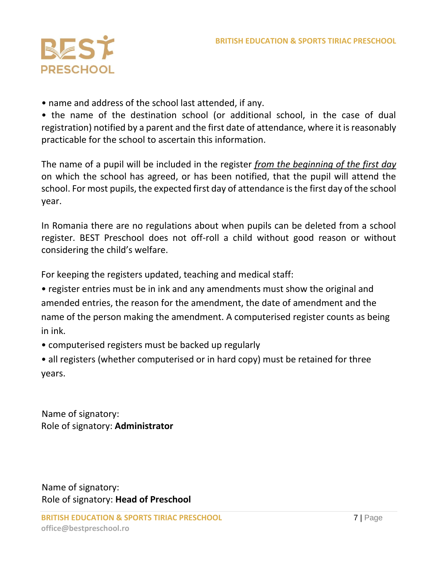

• name and address of the school last attended, if any.

• the name of the destination school (or additional school, in the case of dual registration) notified by a parent and the first date of attendance, where it is reasonably practicable for the school to ascertain this information.

The name of a pupil will be included in the register *from the beginning of the first day* on which the school has agreed, or has been notified, that the pupil will attend the school. For most pupils, the expected first day of attendance is the first day of the school year.

In Romania there are no regulations about when pupils can be deleted from a school register. BEST Preschool does not off-roll a child without good reason or without considering the child's welfare.

For keeping the registers updated, teaching and medical staff:

• register entries must be in ink and any amendments must show the original and amended entries, the reason for the amendment, the date of amendment and the name of the person making the amendment. A computerised register counts as being in ink.

- computerised registers must be backed up regularly
- all registers (whether computerised or in hard copy) must be retained for three years.

Name of signatory: Role of signatory: **Administrator** 

Name of signatory: Role of signatory: **Head of Preschool**